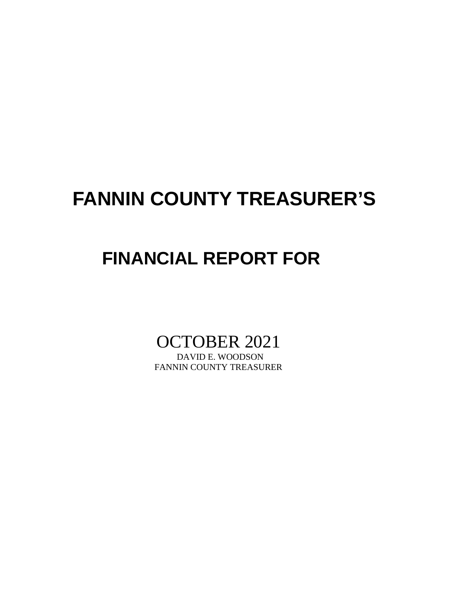# **FANNIN COUNTY TREASURER'S**

## **FINANCIAL REPORT FOR**

# OCTOBER 2021

FANNIN COUNTY TREASURER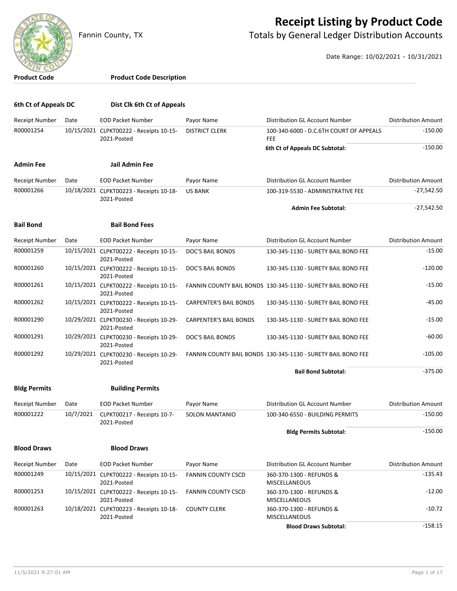

### **Receipt Listing by Product Code**

Fannin County, TX **The County of Totals by General Ledger Distribution Accounts** 

Date Range: 10/02/2021 - 10/31/2021

**Product Code Product Code Description 6th Ct of Appeals DC Dist Clk 6th Ct of Appeals** Receipt Number Date EOD Packet Number Payor Name Distribution GL Account Number Distribution Amount R00001254 10/15/2021 CLPKT00222 - Receipts 10-15- 2021-Posted DISTRICT CLERK 100-340-6000 - D.C.6TH COURT OF APPEALS -150.00 FEE **6th Ct of Appeals DC Subtotal:**  $-150.00$ **Admin Fee Jail Admin Fee** Receipt Number Date EOD Packet Number Payor Name Distribution GL Account Number Distribution Amount R00001266 10/18/2021 CLPKT00223 - Receipts 10-18- 2021-Posted US BANK 100-319-5530 - ADMINISTRATIVE FEE 427,542.50 **Admin Fee Subtotal:** -27,542.50 **Bail Bond Bail Bond Fees** Receipt Number Date EOD Packet Number Payor Name Distribution GL Account Number Distribution Amount R00001259 10/15/2021 CLPKT00222 - Receipts 10-15- 2021-Posted DOC'S BAIL BONDS 130-345-1130 - SURETY BAIL BOND FEE 45.00 R00001260 10/15/2021 CLPKT00222 - Receipts 10-15- 2021-Posted DOC'S BAIL BONDS 130-345-1130 - SURETY BAIL BOND FEE -120.00 R00001261 10/15/2021 CLPKT00222 - Receipts 10-15- 2021-Posted FANNIN COUNTY BAIL BONDS 130-345-1130 - SURETY BAIL BOND FEE -15.00 R00001262 10/15/2021 CLPKT00222 - Receipts 10-15- 2021-Posted CARPENTER'S BAIL BONDS 130-345-1130 - SURETY BAIL BOND FEE -45.00 R00001290 10/29/2021 CLPKT00230 - Receipts 10-29- 2021-Posted CARPENTER'S BAIL BONDS 130-345-1130 - SURETY BAIL BOND FEE -15.00 R00001291 10/29/2021 CLPKT00230 - Receipts 10-29- 2021-Posted DOC'S BAIL BONDS 130-345-1130 - SURETY BAIL BOND FEE -60.00 R00001292 10/29/2021 CLPKT00230 - Receipts 10-29- 2021-Posted FANNIN COUNTY BAIL BONDS 130-345-1130 - SURETY BAIL BOND FEE -105.00 **Bail Bond Subtotal:**  $-375.00$ **Bldg Permits Building Permits** Receipt Number Date EOD Packet Number Payor Name Distribution GL Account Number Distribution Amount R00001222 10/7/2021 CLPKT00217 - Receipts 10-7- 2021-Posted SOLON MANTANIO 100-340-6550 - BUILDING PERMITS -150.00 **Bldg Permits Subtotal:**  $-150.00$ **Blood Draws Blood Draws** Receipt Number Date EOD Packet Number Payor Name Distribution GL Account Number Distribution Amount R00001249 10/15/2021 CLPKT00222 - Receipts 10-15- 2021-Posted FANNIN COUNTY CSCD 360-370-1300 - REFUNDS &  $-135.43$ MISCELLANEOUS R00001253 10/15/2021 CLPKT00222 - Receipts 10-15- 2021-Posted FANNIN COUNTY CSCD 360-370-1300 - REFUNDS &  $-12.00$ MISCELLANEOUS R00001263 10/18/2021 CLPKT00223 - Receipts 10-18- 2021-Posted COUNTY CLERK 360-370-1300 - REFUNDS & -10.72 MISCELLANEOUS **Blood Draws Subtotal:**  $-158.15$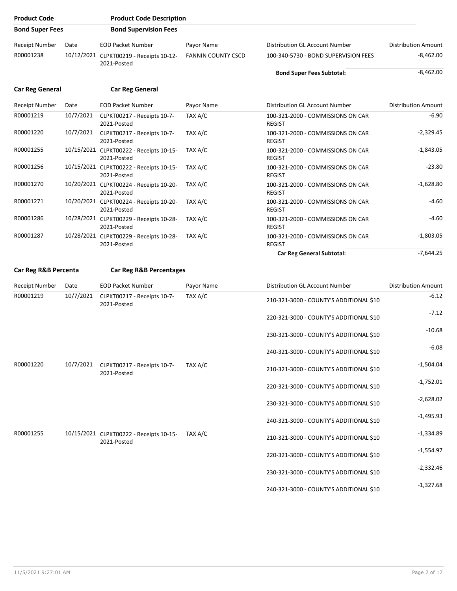| <b>Product Code</b>    |           | <b>Product Code Description</b>                                |                           |                                                    |                            |
|------------------------|-----------|----------------------------------------------------------------|---------------------------|----------------------------------------------------|----------------------------|
| <b>Bond Super Fees</b> |           | <b>Bond Supervision Fees</b>                                   |                           |                                                    |                            |
| <b>Receipt Number</b>  | Date      | <b>EOD Packet Number</b>                                       | Payor Name                | Distribution GL Account Number                     | <b>Distribution Amount</b> |
| R00001238              |           | 10/12/2021 CLPKT00219 - Receipts 10-12-<br>2021-Posted         | <b>FANNIN COUNTY CSCD</b> | 100-340-5730 - BOND SUPERVISION FEES               | $-8,462.00$                |
|                        |           |                                                                |                           | <b>Bond Super Fees Subtotal:</b>                   | $-8,462.00$                |
| <b>Car Reg General</b> |           | <b>Car Reg General</b>                                         |                           |                                                    |                            |
| <b>Receipt Number</b>  | Date      | <b>EOD Packet Number</b>                                       | Payor Name                | Distribution GL Account Number                     | <b>Distribution Amount</b> |
| R00001219              | 10/7/2021 | CLPKT00217 - Receipts 10-7-<br>2021-Posted                     | TAX A/C                   | 100-321-2000 - COMMISSIONS ON CAR<br><b>REGIST</b> | $-6.90$                    |
| R00001220              | 10/7/2021 | CLPKT00217 - Receipts 10-7-<br>2021-Posted                     | TAX A/C                   | 100-321-2000 - COMMISSIONS ON CAR<br><b>REGIST</b> | $-2,329.45$                |
| R00001255              |           | 10/15/2021 CLPKT00222 - Receipts 10-15-<br>2021-Posted         | TAX A/C                   | 100-321-2000 - COMMISSIONS ON CAR<br><b>REGIST</b> | $-1,843.05$                |
| R00001256              |           | 10/15/2021 CLPKT00222 - Receipts 10-15-<br>2021-Posted         | TAX A/C                   | 100-321-2000 - COMMISSIONS ON CAR<br><b>REGIST</b> | $-23.80$                   |
| R00001270              |           | 10/20/2021 CLPKT00224 - Receipts 10-20-<br>2021-Posted         | TAX A/C                   | 100-321-2000 - COMMISSIONS ON CAR<br><b>REGIST</b> | $-1,628.80$                |
| R00001271              |           | 10/20/2021 CLPKT00224 - Receipts 10-20-<br>2021-Posted         | TAX A/C                   | 100-321-2000 - COMMISSIONS ON CAR<br><b>REGIST</b> | $-4.60$                    |
| R00001286              |           | 10/28/2021 CLPKT00229 - Receipts 10-28-<br>2021-Posted         | TAX A/C                   | 100-321-2000 - COMMISSIONS ON CAR<br><b>REGIST</b> | $-4.60$                    |
| R00001287              |           | 10/28/2021 CLPKT00229 - Receipts 10-28-<br>2021-Posted         | TAX A/C                   | 100-321-2000 - COMMISSIONS ON CAR<br><b>REGIST</b> | $-1,803.05$                |
|                        |           |                                                                |                           | <b>Car Reg General Subtotal:</b>                   | $-7,644.25$                |
| Car Reg R&B Percenta   |           | <b>Car Reg R&amp;B Percentages</b>                             |                           |                                                    |                            |
| Receipt Number         | Date      | <b>EOD Packet Number</b>                                       | Payor Name                | Distribution GL Account Number                     | <b>Distribution Amount</b> |
| R00001219              | 10/7/2021 | CLPKT00217 - Receipts 10-7-<br>2021-Posted                     | TAX A/C                   | 210-321-3000 - COUNTY'S ADDITIONAL \$10            | $-6.12$                    |
|                        |           |                                                                |                           | 220-321-3000 - COUNTY'S ADDITIONAL \$10            | $-7.12$                    |
|                        |           |                                                                |                           | 230-321-3000 - COUNTY'S ADDITIONAL \$10            | $-10.68$                   |
|                        |           |                                                                |                           | 240-321-3000 - COUNTY'S ADDITIONAL \$10            | $-6.08$                    |
| R00001220              |           | 10/7/2021 CLPKT00217 - Receipts 10-7-<br>2021-Posted           | TAX A/C                   | 210-321-3000 - COUNTY'S ADDITIONAL \$10            | $-1,504.04$                |
|                        |           |                                                                |                           | 220-321-3000 - COUNTY'S ADDITIONAL \$10            | $-1,752.01$                |
|                        |           |                                                                |                           | 230-321-3000 - COUNTY'S ADDITIONAL \$10            | $-2,628.02$                |
|                        |           |                                                                |                           | 240-321-3000 - COUNTY'S ADDITIONAL \$10            | $-1,495.93$                |
| R00001255              |           | 10/15/2021 CLPKT00222 - Receipts 10-15- TAX A/C<br>2021-Posted |                           | 210-321-3000 - COUNTY'S ADDITIONAL \$10            | $-1,334.89$                |
|                        |           |                                                                |                           | 220-321-3000 - COUNTY'S ADDITIONAL \$10            | $-1,554.97$                |
|                        |           |                                                                |                           | 230-321-3000 - COUNTY'S ADDITIONAL \$10            | $-2,332.46$                |
|                        |           |                                                                |                           | 240-321-3000 - COUNTY'S ADDITIONAL \$10            | $-1,327.68$                |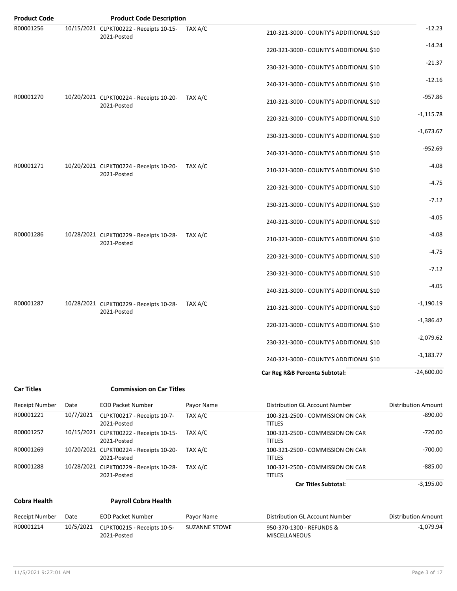| <b>Product Code</b>   |           | <b>Product Code Description</b>                                |                      |                                                   |                            |
|-----------------------|-----------|----------------------------------------------------------------|----------------------|---------------------------------------------------|----------------------------|
| R00001256             |           | 10/15/2021 CLPKT00222 - Receipts 10-15- TAX A/C<br>2021-Posted |                      | 210-321-3000 - COUNTY'S ADDITIONAL \$10           | $-12.23$                   |
|                       |           |                                                                |                      | 220-321-3000 - COUNTY'S ADDITIONAL \$10           | $-14.24$                   |
|                       |           |                                                                |                      | 230-321-3000 - COUNTY'S ADDITIONAL \$10           | $-21.37$                   |
|                       |           |                                                                |                      | 240-321-3000 - COUNTY'S ADDITIONAL \$10           | $-12.16$                   |
| R00001270             |           | 10/20/2021 CLPKT00224 - Receipts 10-20-<br>2021-Posted         | TAX A/C              | 210-321-3000 - COUNTY'S ADDITIONAL \$10           | $-957.86$                  |
|                       |           |                                                                |                      | 220-321-3000 - COUNTY'S ADDITIONAL \$10           | $-1,115.78$                |
|                       |           |                                                                |                      | 230-321-3000 - COUNTY'S ADDITIONAL \$10           | $-1,673.67$                |
|                       |           |                                                                |                      | 240-321-3000 - COUNTY'S ADDITIONAL \$10           | $-952.69$                  |
| R00001271             |           | 10/20/2021 CLPKT00224 - Receipts 10-20-<br>2021-Posted         | TAX A/C              | 210-321-3000 - COUNTY'S ADDITIONAL \$10           | $-4.08$                    |
|                       |           |                                                                |                      | 220-321-3000 - COUNTY'S ADDITIONAL \$10           | $-4.75$                    |
|                       |           |                                                                |                      | 230-321-3000 - COUNTY'S ADDITIONAL \$10           | $-7.12$                    |
|                       |           |                                                                |                      | 240-321-3000 - COUNTY'S ADDITIONAL \$10           | $-4.05$                    |
| R00001286             |           | 10/28/2021 CLPKT00229 - Receipts 10-28-<br>2021-Posted         | TAX A/C              | 210-321-3000 - COUNTY'S ADDITIONAL \$10           | $-4.08$                    |
|                       |           |                                                                |                      | 220-321-3000 - COUNTY'S ADDITIONAL \$10           | $-4.75$                    |
|                       |           |                                                                |                      | 230-321-3000 - COUNTY'S ADDITIONAL \$10           | $-7.12$                    |
|                       |           |                                                                |                      | 240-321-3000 - COUNTY'S ADDITIONAL \$10           | $-4.05$                    |
| R00001287             |           | 10/28/2021 CLPKT00229 - Receipts 10-28-<br>2021-Posted         | TAX A/C              | 210-321-3000 - COUNTY'S ADDITIONAL \$10           | $-1,190.19$                |
|                       |           |                                                                |                      | 220-321-3000 - COUNTY'S ADDITIONAL \$10           | $-1,386.42$                |
|                       |           |                                                                |                      | 230-321-3000 - COUNTY'S ADDITIONAL \$10           | $-2,079.62$                |
|                       |           |                                                                |                      | 240-321-3000 - COUNTY'S ADDITIONAL \$10           | $-1,183.77$                |
|                       |           |                                                                |                      | Car Reg R&B Percenta Subtotal:                    | $-24,600.00$               |
| <b>Car Titles</b>     |           | <b>Commission on Car Titles</b>                                |                      |                                                   |                            |
| <b>Receipt Number</b> | Date      | <b>EOD Packet Number</b>                                       | Payor Name           | Distribution GL Account Number                    | <b>Distribution Amount</b> |
| R00001221             | 10/7/2021 | CLPKT00217 - Receipts 10-7-<br>2021-Posted                     | TAX A/C              | 100-321-2500 - COMMISSION ON CAR<br><b>TITLES</b> | $-890.00$                  |
| R00001257             |           | 10/15/2021 CLPKT00222 - Receipts 10-15-<br>2021-Posted         | TAX A/C              | 100-321-2500 - COMMISSION ON CAR<br><b>TITLES</b> | $-720.00$                  |
| R00001269             |           | 10/20/2021 CLPKT00224 - Receipts 10-20-<br>2021-Posted         | TAX A/C              | 100-321-2500 - COMMISSION ON CAR<br><b>TITLES</b> | $-700.00$                  |
| R00001288             |           | 10/28/2021 CLPKT00229 - Receipts 10-28-<br>2021-Posted         | TAX A/C              | 100-321-2500 - COMMISSION ON CAR<br><b>TITLES</b> | $-885.00$                  |
|                       |           |                                                                |                      | <b>Car Titles Subtotal:</b>                       | $-3,195.00$                |
| <b>Cobra Health</b>   |           | <b>Payroll Cobra Health</b>                                    |                      |                                                   |                            |
| <b>Receipt Number</b> | Date      | <b>EOD Packet Number</b>                                       | Payor Name           | Distribution GL Account Number                    | <b>Distribution Amount</b> |
| R00001214             | 10/5/2021 | CLPKT00215 - Receipts 10-5-<br>2021-Posted                     | <b>SUZANNE STOWE</b> | 950-370-1300 - REFUNDS &<br>MISCELLANEOUS         | $-1,079.94$                |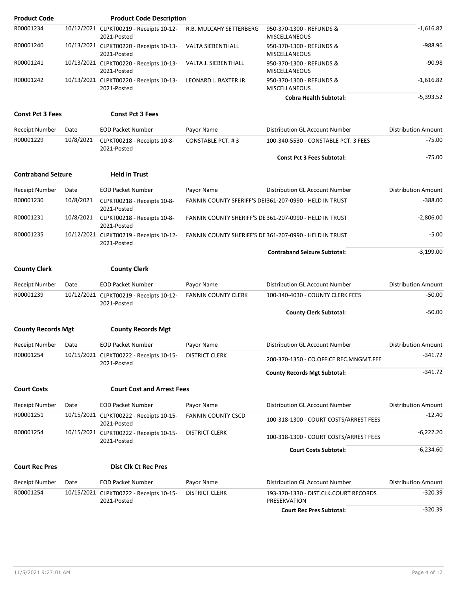| <b>Product Code</b>       |           | <b>Product Code Description</b>                        |                            |                                                         |                            |
|---------------------------|-----------|--------------------------------------------------------|----------------------------|---------------------------------------------------------|----------------------------|
| R00001234                 |           | 10/12/2021 CLPKT00219 - Receipts 10-12-<br>2021-Posted | R.B. MULCAHY SETTERBERG    | 950-370-1300 - REFUNDS &<br><b>MISCELLANEOUS</b>        | $-1,616.82$                |
| R00001240                 |           | 10/13/2021 CLPKT00220 - Receipts 10-13-<br>2021-Posted | VALTA SIEBENTHALL          | 950-370-1300 - REFUNDS &<br><b>MISCELLANEOUS</b>        | -988.96                    |
| R00001241                 |           | 10/13/2021 CLPKT00220 - Receipts 10-13-<br>2021-Posted | VALTA J. SIEBENTHALL       | 950-370-1300 - REFUNDS &<br><b>MISCELLANEOUS</b>        | $-90.98$                   |
| R00001242                 |           | 10/13/2021 CLPKT00220 - Receipts 10-13-<br>2021-Posted | LEONARD J. BAXTER JR.      | 950-370-1300 - REFUNDS &<br><b>MISCELLANEOUS</b>        | $-1,616.82$                |
|                           |           |                                                        |                            | <b>Cobra Health Subtotal:</b>                           | $-5,393.52$                |
| <b>Const Pct 3 Fees</b>   |           | <b>Const Pct 3 Fees</b>                                |                            |                                                         |                            |
| Receipt Number            | Date      | <b>EOD Packet Number</b>                               | Payor Name                 | Distribution GL Account Number                          | <b>Distribution Amount</b> |
| R00001229                 | 10/8/2021 | CLPKT00218 - Receipts 10-8-<br>2021-Posted             | CONSTABLE PCT. #3          | 100-340-5530 - CONSTABLE PCT. 3 FEES                    | $-75.00$                   |
|                           |           |                                                        |                            | <b>Const Pct 3 Fees Subtotal:</b>                       | $-75.00$                   |
| <b>Contraband Seizure</b> |           | <b>Held in Trust</b>                                   |                            |                                                         |                            |
| Receipt Number            | Date      | <b>EOD Packet Number</b>                               | Payor Name                 | Distribution GL Account Number                          | <b>Distribution Amount</b> |
| R00001230                 | 10/8/2021 | CLPKT00218 - Receipts 10-8-<br>2021-Posted             |                            | FANNIN COUNTY SFERIFF'S DEI361-207-0990 - HELD IN TRUST | $-388.00$                  |
| R00001231                 | 10/8/2021 | CLPKT00218 - Receipts 10-8-<br>2021-Posted             |                            | FANNIN COUNTY SHERIFF'S DE 361-207-0990 - HELD IN TRUST | $-2,806.00$                |
| R00001235                 |           | 10/12/2021 CLPKT00219 - Receipts 10-12-<br>2021-Posted |                            | FANNIN COUNTY SHERIFF'S DE 361-207-0990 - HELD IN TRUST | $-5.00$                    |
|                           |           |                                                        |                            | <b>Contraband Seizure Subtotal:</b>                     | $-3,199.00$                |
| <b>County Clerk</b>       |           | <b>County Clerk</b>                                    |                            |                                                         |                            |
| Receipt Number            | Date      | <b>EOD Packet Number</b>                               | Payor Name                 | Distribution GL Account Number                          | <b>Distribution Amount</b> |
| R00001239                 |           | 10/12/2021 CLPKT00219 - Receipts 10-12-<br>2021-Posted | <b>FANNIN COUNTY CLERK</b> | 100-340-4030 - COUNTY CLERK FEES                        | $-50.00$                   |
|                           |           |                                                        |                            | <b>County Clerk Subtotal:</b>                           | $-50.00$                   |
| <b>County Records Mgt</b> |           |                                                        |                            |                                                         |                            |
|                           |           | <b>County Records Mgt</b>                              |                            |                                                         |                            |
| Receipt Number            | Date      | <b>EOD Packet Number</b>                               | Payor Name                 | Distribution GL Account Number                          | <b>Distribution Amount</b> |
| R00001254                 |           | 10/15/2021 CLPKT00222 - Receipts 10-15-<br>2021-Posted | <b>DISTRICT CLERK</b>      | 200-370-1350 - CO.OFFICE REC.MNGMT.FEE                  | $-341.72$                  |
|                           |           |                                                        |                            | <b>County Records Mgt Subtotal:</b>                     | $-341.72$                  |
| <b>Court Costs</b>        |           | <b>Court Cost and Arrest Fees</b>                      |                            |                                                         |                            |
| <b>Receipt Number</b>     | Date      | <b>EOD Packet Number</b>                               | Payor Name                 | Distribution GL Account Number                          | <b>Distribution Amount</b> |
| R00001251                 |           | 10/15/2021 CLPKT00222 - Receipts 10-15-<br>2021-Posted | <b>FANNIN COUNTY CSCD</b>  | 100-318-1300 - COURT COSTS/ARREST FEES                  | $-12.40$                   |
| R00001254                 |           | 10/15/2021 CLPKT00222 - Receipts 10-15-<br>2021-Posted | <b>DISTRICT CLERK</b>      | 100-318-1300 - COURT COSTS/ARREST FEES                  | $-6,222.20$                |
|                           |           |                                                        |                            | <b>Court Costs Subtotal:</b>                            | $-6,234.60$                |
| <b>Court Rec Pres</b>     |           | <b>Dist Clk Ct Rec Pres</b>                            |                            |                                                         |                            |
| <b>Receipt Number</b>     | Date      | <b>EOD Packet Number</b>                               | Payor Name                 | Distribution GL Account Number                          | <b>Distribution Amount</b> |
| R00001254                 |           | 10/15/2021 CLPKT00222 - Receipts 10-15-<br>2021-Posted | <b>DISTRICT CLERK</b>      | 193-370-1330 - DIST.CLK.COURT RECORDS<br>PRESERVATION   | $-320.39$                  |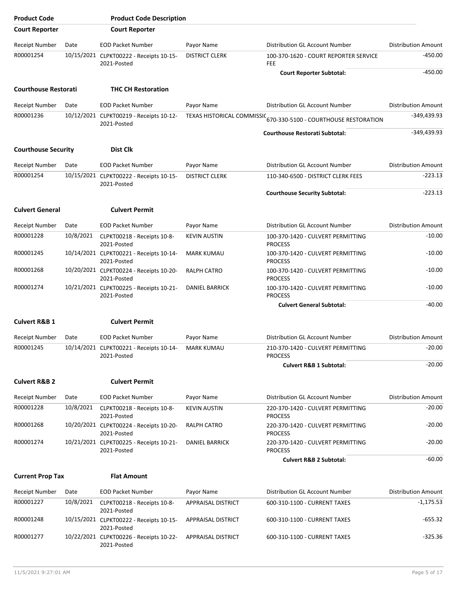| <b>Product Code</b>         |           | <b>Product Code Description</b>                        |                           |                                                                  |                            |
|-----------------------------|-----------|--------------------------------------------------------|---------------------------|------------------------------------------------------------------|----------------------------|
| <b>Court Reporter</b>       |           | <b>Court Reporter</b>                                  |                           |                                                                  |                            |
| Receipt Number              | Date      | <b>EOD Packet Number</b>                               | Payor Name                | Distribution GL Account Number                                   | <b>Distribution Amount</b> |
| R00001254                   |           | 10/15/2021 CLPKT00222 - Receipts 10-15-<br>2021-Posted | <b>DISTRICT CLERK</b>     | 100-370-1620 - COURT REPORTER SERVICE<br><b>FEE</b>              | $-450.00$                  |
|                             |           |                                                        |                           | <b>Court Reporter Subtotal:</b>                                  | $-450.00$                  |
| <b>Courthouse Restorati</b> |           | <b>THC CH Restoration</b>                              |                           |                                                                  |                            |
| <b>Receipt Number</b>       | Date      | <b>EOD Packet Number</b>                               | Payor Name                | Distribution GL Account Number                                   | <b>Distribution Amount</b> |
| R00001236                   |           | 10/12/2021 CLPKT00219 - Receipts 10-12-<br>2021-Posted |                           | TEXAS HISTORICAL COMMISSIC 670-330-5100 - COURTHOUSE RESTORATION | $-349,439.93$              |
|                             |           |                                                        |                           | <b>Courthouse Restorati Subtotal:</b>                            | $-349,439.93$              |
| <b>Courthouse Security</b>  |           | Dist Clk                                               |                           |                                                                  |                            |
| Receipt Number              | Date      | <b>EOD Packet Number</b>                               | Payor Name                | Distribution GL Account Number                                   | <b>Distribution Amount</b> |
| R00001254                   |           | 10/15/2021 CLPKT00222 - Receipts 10-15-<br>2021-Posted | <b>DISTRICT CLERK</b>     | 110-340-6500 - DISTRICT CLERK FEES                               | $-223.13$                  |
|                             |           |                                                        |                           | <b>Courthouse Security Subtotal:</b>                             | $-223.13$                  |
| <b>Culvert General</b>      |           | <b>Culvert Permit</b>                                  |                           |                                                                  |                            |
| <b>Receipt Number</b>       | Date      | <b>EOD Packet Number</b>                               | Payor Name                | Distribution GL Account Number                                   | <b>Distribution Amount</b> |
| R00001228                   | 10/8/2021 | CLPKT00218 - Receipts 10-8-<br>2021-Posted             | <b>KEVIN AUSTIN</b>       | 100-370-1420 - CULVERT PERMITTING<br><b>PROCESS</b>              | $-10.00$                   |
| R00001245                   |           | 10/14/2021 CLPKT00221 - Receipts 10-14-<br>2021-Posted | <b>MARK KUMAU</b>         | 100-370-1420 - CULVERT PERMITTING<br><b>PROCESS</b>              | $-10.00$                   |
| R00001268                   |           | 10/20/2021 CLPKT00224 - Receipts 10-20-<br>2021-Posted | RALPH CATRO               | 100-370-1420 - CULVERT PERMITTING<br><b>PROCESS</b>              | $-10.00$                   |
| R00001274                   |           | 10/21/2021 CLPKT00225 - Receipts 10-21-<br>2021-Posted | <b>DANIEL BARRICK</b>     | 100-370-1420 - CULVERT PERMITTING<br><b>PROCESS</b>              | $-10.00$                   |
|                             |           |                                                        |                           | <b>Culvert General Subtotal:</b>                                 | $-40.00$                   |
| <b>Culvert R&amp;B 1</b>    |           | <b>Culvert Permit</b>                                  |                           |                                                                  |                            |
| Receipt Number              | Date      | <b>EOD Packet Number</b>                               | Payor Name                | Distribution GL Account Number                                   | <b>Distribution Amount</b> |
| R00001245                   |           | 10/14/2021 CLPKT00221 - Receipts 10-14-<br>2021-Posted | <b>MARK KUMAU</b>         | 210-370-1420 - CULVERT PERMITTING<br><b>PROCESS</b>              | -20.00                     |
|                             |           |                                                        |                           | <b>Culvert R&amp;B 1 Subtotal:</b>                               | $-20.00$                   |
| <b>Culvert R&amp;B 2</b>    |           | <b>Culvert Permit</b>                                  |                           |                                                                  |                            |
| Receipt Number              | Date      | <b>EOD Packet Number</b>                               | Payor Name                | Distribution GL Account Number                                   | <b>Distribution Amount</b> |
| R00001228                   | 10/8/2021 | CLPKT00218 - Receipts 10-8-<br>2021-Posted             | <b>KEVIN AUSTIN</b>       | 220-370-1420 - CULVERT PERMITTING<br><b>PROCESS</b>              | $-20.00$                   |
| R00001268                   |           | 10/20/2021 CLPKT00224 - Receipts 10-20-<br>2021-Posted | RALPH CATRO               | 220-370-1420 - CULVERT PERMITTING<br><b>PROCESS</b>              | $-20.00$                   |
| R00001274                   |           | 10/21/2021 CLPKT00225 - Receipts 10-21-<br>2021-Posted | <b>DANIEL BARRICK</b>     | 220-370-1420 - CULVERT PERMITTING<br><b>PROCESS</b>              | $-20.00$                   |
|                             |           |                                                        |                           | <b>Culvert R&amp;B 2 Subtotal:</b>                               | $-60.00$                   |
| <b>Current Prop Tax</b>     |           | <b>Flat Amount</b>                                     |                           |                                                                  |                            |
| Receipt Number              | Date      | <b>EOD Packet Number</b>                               | Payor Name                | Distribution GL Account Number                                   | <b>Distribution Amount</b> |
| R00001227                   | 10/8/2021 | CLPKT00218 - Receipts 10-8-<br>2021-Posted             | APPRAISAL DISTRICT        | 600-310-1100 - CURRENT TAXES                                     | $-1,175.53$                |
| R00001248                   |           | 10/15/2021 CLPKT00222 - Receipts 10-15-<br>2021-Posted | APPRAISAL DISTRICT        | 600-310-1100 - CURRENT TAXES                                     | $-655.32$                  |
| R00001277                   |           | 10/22/2021 CLPKT00226 - Receipts 10-22-<br>2021-Posted | <b>APPRAISAL DISTRICT</b> | 600-310-1100 - CURRENT TAXES                                     | $-325.36$                  |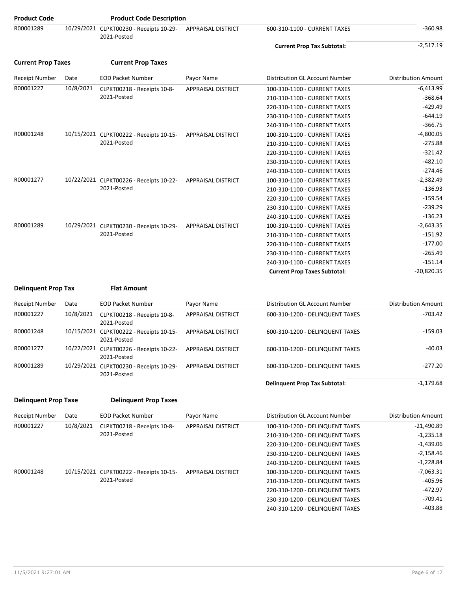| <b>Product Code</b>         |           | <b>Product Code Description</b>                        |                           |                                      |                            |
|-----------------------------|-----------|--------------------------------------------------------|---------------------------|--------------------------------------|----------------------------|
| R00001289                   |           | 10/29/2021 CLPKT00230 - Receipts 10-29-<br>2021-Posted | APPRAISAL DISTRICT        | 600-310-1100 - CURRENT TAXES         | $-360.98$                  |
|                             |           |                                                        |                           | <b>Current Prop Tax Subtotal:</b>    | $-2,517.19$                |
| <b>Current Prop Taxes</b>   |           | <b>Current Prop Taxes</b>                              |                           |                                      |                            |
| <b>Receipt Number</b>       | Date      | <b>EOD Packet Number</b>                               | Payor Name                | Distribution GL Account Number       | <b>Distribution Amount</b> |
| R00001227                   | 10/8/2021 | CLPKT00218 - Receipts 10-8-                            | <b>APPRAISAL DISTRICT</b> | 100-310-1100 - CURRENT TAXES         | $-6,413.99$                |
|                             |           | 2021-Posted                                            |                           | 210-310-1100 - CURRENT TAXES         | $-368.64$                  |
|                             |           |                                                        |                           | 220-310-1100 - CURRENT TAXES         | $-429.49$                  |
|                             |           |                                                        |                           | 230-310-1100 - CURRENT TAXES         | $-644.19$                  |
|                             |           |                                                        |                           | 240-310-1100 - CURRENT TAXES         | $-366.75$                  |
| R00001248                   |           | 10/15/2021 CLPKT00222 - Receipts 10-15-                | <b>APPRAISAL DISTRICT</b> | 100-310-1100 - CURRENT TAXES         | $-4,800.05$                |
|                             |           | 2021-Posted                                            |                           | 210-310-1100 - CURRENT TAXES         | $-275.88$                  |
|                             |           |                                                        |                           | 220-310-1100 - CURRENT TAXES         | $-321.42$                  |
|                             |           |                                                        |                           | 230-310-1100 - CURRENT TAXES         | $-482.10$                  |
|                             |           |                                                        |                           | 240-310-1100 - CURRENT TAXES         | $-274.46$                  |
| R00001277                   |           | 10/22/2021 CLPKT00226 - Receipts 10-22-                | <b>APPRAISAL DISTRICT</b> | 100-310-1100 - CURRENT TAXES         | $-2,382.49$                |
|                             |           | 2021-Posted                                            |                           | 210-310-1100 - CURRENT TAXES         | $-136.93$                  |
|                             |           |                                                        |                           | 220-310-1100 - CURRENT TAXES         | $-159.54$                  |
|                             |           |                                                        |                           | 230-310-1100 - CURRENT TAXES         | $-239.29$                  |
|                             |           |                                                        |                           | 240-310-1100 - CURRENT TAXES         | $-136.23$                  |
| R00001289                   |           | 10/29/2021 CLPKT00230 - Receipts 10-29-                | APPRAISAL DISTRICT        | 100-310-1100 - CURRENT TAXES         | $-2,643.35$                |
|                             |           | 2021-Posted                                            |                           | 210-310-1100 - CURRENT TAXES         | $-151.92$                  |
|                             |           |                                                        |                           | 220-310-1100 - CURRENT TAXES         | $-177.00$                  |
|                             |           |                                                        |                           | 230-310-1100 - CURRENT TAXES         | $-265.49$                  |
|                             |           |                                                        |                           | 240-310-1100 - CURRENT TAXES         | $-151.14$                  |
|                             |           |                                                        |                           | <b>Current Prop Taxes Subtotal:</b>  | $-20,820.35$               |
|                             |           |                                                        |                           |                                      |                            |
| <b>Delinquent Prop Tax</b>  |           | <b>Flat Amount</b>                                     |                           |                                      |                            |
| <b>Receipt Number</b>       | Date      | <b>EOD Packet Number</b>                               | Payor Name                | Distribution GL Account Number       | <b>Distribution Amount</b> |
| R00001227                   | 10/8/2021 | CLPKT00218 - Receipts 10-8-<br>2021-Posted             | <b>APPRAISAL DISTRICT</b> | 600-310-1200 - DELINQUENT TAXES      | $-703.42$                  |
| R00001248                   |           | 10/15/2021 CLPKT00222 - Receipts 10-15-<br>2021-Posted | APPRAISAL DISTRICT        | 600-310-1200 - DELINQUENT TAXES      | $-159.03$                  |
| R00001277                   |           | 10/22/2021 CLPKT00226 - Receipts 10-22-<br>2021-Posted | APPRAISAL DISTRICT        | 600-310-1200 - DELINQUENT TAXES      | $-40.03$                   |
| R00001289                   |           | 10/29/2021 CLPKT00230 - Receipts 10-29-<br>2021-Posted | APPRAISAL DISTRICT        | 600-310-1200 - DELINQUENT TAXES      | $-277.20$                  |
|                             |           |                                                        |                           | <b>Delinquent Prop Tax Subtotal:</b> | $-1,179.68$                |
| <b>Delinquent Prop Taxe</b> |           | <b>Delinquent Prop Taxes</b>                           |                           |                                      |                            |
| Receipt Number              | Date      | <b>EOD Packet Number</b>                               | Payor Name                | Distribution GL Account Number       | <b>Distribution Amount</b> |
| R00001227                   | 10/8/2021 | CLPKT00218 - Receipts 10-8-                            | <b>APPRAISAL DISTRICT</b> | 100-310-1200 - DELINQUENT TAXES      | $-21,490.89$               |
|                             |           | 2021-Posted                                            |                           | 210-310-1200 - DELINQUENT TAXES      | $-1,235.18$                |
|                             |           |                                                        |                           | 220-310-1200 - DELINQUENT TAXES      | $-1,439.06$                |
|                             |           |                                                        |                           | 230-310-1200 - DELINQUENT TAXES      | $-2,158.46$                |
|                             |           |                                                        |                           |                                      |                            |

R00001248 10/15/2021 CLPKT00222 - Receipts 10-15-

2021-Posted

240-310-1200 - DELINQUENT TAXES -1,228.84

100-310-1200 - DELINQUENT TAXES -7,063.31 210-310-1200 - DELINQUENT TAXES -405.96 220-310-1200 - DELINQUENT TAXES -472.97 230-310-1200 - DELINQUENT TAXES -709.41 240-310-1200 - DELINQUENT TAXES -403.88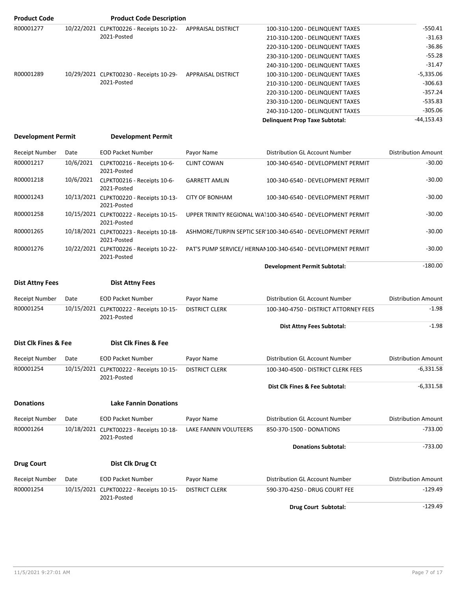| <b>Product Code</b> | <b>Product Code Description</b>         |                           |                                       |             |
|---------------------|-----------------------------------------|---------------------------|---------------------------------------|-------------|
| R00001277           | 10/22/2021 CLPKT00226 - Receipts 10-22- | <b>APPRAISAL DISTRICT</b> | 100-310-1200 - DELINQUENT TAXES       | $-550.41$   |
|                     | 2021-Posted                             |                           | 210-310-1200 - DELINQUENT TAXES       | $-31.63$    |
|                     |                                         |                           | 220-310-1200 - DELINQUENT TAXES       | $-36.86$    |
|                     |                                         |                           | 230-310-1200 - DELINQUENT TAXES       | $-55.28$    |
|                     |                                         |                           | 240-310-1200 - DELINQUENT TAXES       | $-31.47$    |
| R00001289           | 10/29/2021 CLPKT00230 - Receipts 10-29- | APPRAISAL DISTRICT        | 100-310-1200 - DELINQUENT TAXES       | $-5,335.06$ |
|                     | 2021-Posted                             |                           | 210-310-1200 - DELINQUENT TAXES       | $-306.63$   |
|                     |                                         |                           | 220-310-1200 - DELINQUENT TAXES       | $-357.24$   |
|                     |                                         |                           | 230-310-1200 - DELINQUENT TAXES       | $-535.83$   |
|                     |                                         |                           | 240-310-1200 - DELINQUENT TAXES       | $-305.06$   |
|                     |                                         |                           | <b>Delinquent Prop Taxe Subtotal:</b> | -44,153.43  |

#### **Development Permit Development Permit**

| <b>Receipt Number</b> | Date      | <b>EOD Packet Number</b>                               | Payor Name            | Distribution GL Account Number                              | <b>Distribution Amount</b> |
|-----------------------|-----------|--------------------------------------------------------|-----------------------|-------------------------------------------------------------|----------------------------|
| R00001217             | 10/6/2021 | CLPKT00216 - Receipts 10-6-<br>2021-Posted             | <b>CLINT COWAN</b>    | 100-340-6540 - DEVELOPMENT PERMIT                           | $-30.00$                   |
| R00001218             | 10/6/2021 | CLPKT00216 - Receipts 10-6-<br>2021-Posted             | <b>GARRETT AMLIN</b>  | 100-340-6540 - DEVELOPMENT PERMIT                           | $-30.00$                   |
| R00001243             |           | 10/13/2021 CLPKT00220 - Receipts 10-13-<br>2021-Posted | <b>CITY OF BONHAM</b> | 100-340-6540 - DEVELOPMENT PERMIT                           | $-30.00$                   |
| R00001258             |           | 10/15/2021 CLPKT00222 - Receipts 10-15-<br>2021-Posted |                       | UPPER TRINITY REGIONAL WA1100-340-6540 - DEVELOPMENT PERMIT | $-30.00$                   |
| R00001265             |           | 10/18/2021 CLPKT00223 - Receipts 10-18-<br>2021-Posted |                       | ASHMORE/TURPIN SEPTIC SER'100-340-6540 - DEVELOPMENT PERMIT | $-30.00$                   |
| R00001276             |           | 10/22/2021 CLPKT00226 - Receipts 10-22-<br>2021-Posted |                       | PAT'S PUMP SERVICE/ HERNAN100-340-6540 - DEVELOPMENT PERMIT | $-30.00$                   |
|                       |           |                                                        |                       | <b>Development Permit Subtotal:</b>                         | $-180.00$                  |

| <b>Dist Attny Fees</b> | <b>Dist Attny Fees</b> |  |
|------------------------|------------------------|--|
|                        |                        |  |

| Receipt Number | Date | EOD Packet Number                                      | Pavor Name            | Distribution GL Account Number        | <b>Distribution Amount</b> |
|----------------|------|--------------------------------------------------------|-----------------------|---------------------------------------|----------------------------|
| R00001254      |      | 10/15/2021 CLPKT00222 - Receipts 10-15-<br>2021-Posted | <b>DISTRICT CLERK</b> | 100-340-4750 - DISTRICT ATTORNEY FEES | $-1.98$                    |
|                |      |                                                        |                       | <b>Dist Attny Fees Subtotal:</b>      | $-1.98$                    |

#### **Dist Clk Fines & Fee Dist Clk Fines & Fee**

| Receipt Number   | Date | <b>EOD Packet Number</b>                               | Payor Name            | Distribution GL Account Number     | <b>Distribution Amount</b> |
|------------------|------|--------------------------------------------------------|-----------------------|------------------------------------|----------------------------|
| R00001254        |      | 10/15/2021 CLPKT00222 - Receipts 10-15-<br>2021-Posted | <b>DISTRICT CLERK</b> | 100-340-4500 - DISTRICT CLERK FEES | $-6,331.58$                |
|                  |      |                                                        |                       | Dist Clk Fines & Fee Subtotal:     | $-6,331.58$                |
| <b>Donations</b> |      | <b>Lake Fannin Donations</b>                           |                       |                                    |                            |
| Receipt Number   | Date | <b>EOD Packet Number</b>                               | Payor Name            | Distribution GL Account Number     | <b>Distribution Amount</b> |
| R00001264        |      | 10/18/2021 CLPKT00223 - Receipts 10-18-                | LAKE FANNIN VOLUTEERS | 850-370-1500 - DONATIONS           | $-733.00$                  |

|                       |      | 2021-Posted                                            |                       |                                |                            |
|-----------------------|------|--------------------------------------------------------|-----------------------|--------------------------------|----------------------------|
|                       |      |                                                        |                       | <b>Donations Subtotal:</b>     | -733.00                    |
| <b>Drug Court</b>     |      | Dist Clk Drug Ct                                       |                       |                                |                            |
| <b>Receipt Number</b> | Date | <b>EOD Packet Number</b>                               | Payor Name            | Distribution GL Account Number | <b>Distribution Amount</b> |
| R00001254             |      | 10/15/2021 CLPKT00222 - Receipts 10-15-<br>2021-Posted | <b>DISTRICT CLERK</b> | 590-370-4250 - DRUG COURT FEE  | $-129.49$                  |

**Drug Court Subtotal:**  $-129.49$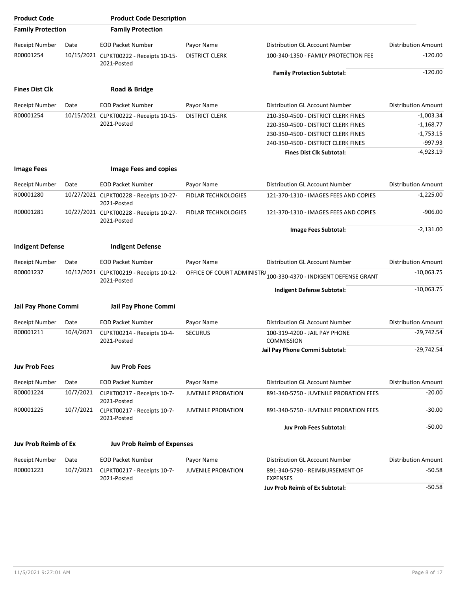| <b>Product Code</b>         |           | <b>Product Code Description</b>                        |                            |                                                    |                            |
|-----------------------------|-----------|--------------------------------------------------------|----------------------------|----------------------------------------------------|----------------------------|
| <b>Family Protection</b>    |           | <b>Family Protection</b>                               |                            |                                                    |                            |
| <b>Receipt Number</b>       | Date      | <b>EOD Packet Number</b>                               | Payor Name                 | Distribution GL Account Number                     | <b>Distribution Amount</b> |
| R00001254                   |           | 10/15/2021 CLPKT00222 - Receipts 10-15-<br>2021-Posted | <b>DISTRICT CLERK</b>      | 100-340-1350 - FAMILY PROTECTION FEE               | -120.00                    |
|                             |           |                                                        |                            | <b>Family Protection Subtotal:</b>                 | $-120.00$                  |
| <b>Fines Dist Clk</b>       |           | Road & Bridge                                          |                            |                                                    |                            |
| <b>Receipt Number</b>       | Date      | <b>EOD Packet Number</b>                               | Payor Name                 | Distribution GL Account Number                     | <b>Distribution Amount</b> |
| R00001254                   |           | 10/15/2021 CLPKT00222 - Receipts 10-15-                | <b>DISTRICT CLERK</b>      | 210-350-4500 - DISTRICT CLERK FINES                | $-1,003.34$                |
|                             |           | 2021-Posted                                            |                            | 220-350-4500 - DISTRICT CLERK FINES                | $-1,168.77$                |
|                             |           |                                                        |                            | 230-350-4500 - DISTRICT CLERK FINES                | $-1,753.15$                |
|                             |           |                                                        |                            | 240-350-4500 - DISTRICT CLERK FINES                | $-997.93$                  |
|                             |           |                                                        |                            | <b>Fines Dist Clk Subtotal:</b>                    | $-4,923.19$                |
| <b>Image Fees</b>           |           | <b>Image Fees and copies</b>                           |                            |                                                    |                            |
| <b>Receipt Number</b>       | Date      | <b>EOD Packet Number</b>                               | Payor Name                 | Distribution GL Account Number                     | <b>Distribution Amount</b> |
| R00001280                   |           | 10/27/2021 CLPKT00228 - Receipts 10-27-<br>2021-Posted | <b>FIDLAR TECHNOLOGIES</b> | 121-370-1310 - IMAGES FEES AND COPIES              | $-1,225.00$                |
| R00001281                   |           | 10/27/2021 CLPKT00228 - Receipts 10-27-<br>2021-Posted | FIDLAR TECHNOLOGIES        | 121-370-1310 - IMAGES FEES AND COPIES              | $-906.00$                  |
|                             |           |                                                        |                            | Image Fees Subtotal:                               | $-2,131.00$                |
| <b>Indigent Defense</b>     |           | <b>Indigent Defense</b>                                |                            |                                                    |                            |
| <b>Receipt Number</b>       | Date      | <b>EOD Packet Number</b>                               | Payor Name                 | Distribution GL Account Number                     | <b>Distribution Amount</b> |
| R00001237                   |           | 10/12/2021 CLPKT00219 - Receipts 10-12-<br>2021-Posted | OFFICE OF COURT ADMINISTR/ | 100-330-4370 - INDIGENT DEFENSE GRANT              | $-10,063.75$               |
|                             |           |                                                        |                            | Indigent Defense Subtotal:                         | $-10,063.75$               |
| <b>Jail Pay Phone Commi</b> |           | Jail Pay Phone Commi                                   |                            |                                                    |                            |
| <b>Receipt Number</b>       | Date      | <b>EOD Packet Number</b>                               | Payor Name                 | Distribution GL Account Number                     | <b>Distribution Amount</b> |
| R00001211                   | 10/4/2021 | CLPKT00214 - Receipts 10-4-<br>2021-Posted             | <b>SECURUS</b>             | 100-319-4200 - JAIL PAY PHONE<br><b>COMMISSION</b> | $-29,742.54$               |
|                             |           |                                                        |                            | Jail Pay Phone Commi Subtotal:                     | $-29,742.54$               |
| <b>Juv Prob Fees</b>        |           | <b>Juv Prob Fees</b>                                   |                            |                                                    |                            |
| Receipt Number              | Date      | <b>EOD Packet Number</b>                               | Payor Name                 | Distribution GL Account Number                     | <b>Distribution Amount</b> |
| R00001224                   | 10/7/2021 | CLPKT00217 - Receipts 10-7-<br>2021-Posted             | <b>JUVENILE PROBATION</b>  | 891-340-5750 - JUVENILE PROBATION FEES             | $-20.00$                   |
| R00001225                   | 10/7/2021 | CLPKT00217 - Receipts 10-7-<br>2021-Posted             | <b>JUVENILE PROBATION</b>  | 891-340-5750 - JUVENILE PROBATION FEES             | $-30.00$                   |
|                             |           |                                                        |                            | <b>Juv Prob Fees Subtotal:</b>                     | $-50.00$                   |
| <b>Juv Prob Reimb of Ex</b> |           | <b>Juv Prob Reimb of Expenses</b>                      |                            |                                                    |                            |
| <b>Receipt Number</b>       | Date      | <b>EOD Packet Number</b>                               | Payor Name                 | Distribution GL Account Number                     | <b>Distribution Amount</b> |
| R00001223                   | 10/7/2021 | CLPKT00217 - Receipts 10-7-<br>2021-Posted             | <b>JUVENILE PROBATION</b>  | 891-340-5790 - REIMBURSEMENT OF<br><b>EXPENSES</b> | $-50.58$                   |
|                             |           |                                                        |                            | <b>Juv Prob Reimb of Ex Subtotal:</b>              | $-50.58$                   |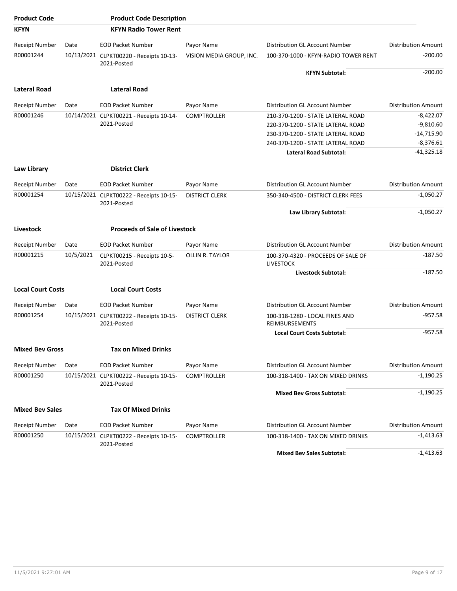| <b>Product Code</b>      |           | <b>Product Code Description</b>                        |                          |                                                         |                            |
|--------------------------|-----------|--------------------------------------------------------|--------------------------|---------------------------------------------------------|----------------------------|
| <b>KFYN</b>              |           | <b>KFYN Radio Tower Rent</b>                           |                          |                                                         |                            |
| <b>Receipt Number</b>    | Date      | <b>EOD Packet Number</b>                               | Payor Name               | Distribution GL Account Number                          | <b>Distribution Amount</b> |
| R00001244                |           | 10/13/2021 CLPKT00220 - Receipts 10-13-<br>2021-Posted | VISION MEDIA GROUP, INC. | 100-370-1000 - KFYN-RADIO TOWER RENT                    | $-200.00$                  |
|                          |           |                                                        |                          | <b>KFYN Subtotal:</b>                                   | $-200.00$                  |
| <b>Lateral Road</b>      |           | <b>Lateral Road</b>                                    |                          |                                                         |                            |
| <b>Receipt Number</b>    | Date      | <b>EOD Packet Number</b>                               | Payor Name               | Distribution GL Account Number                          | <b>Distribution Amount</b> |
| R00001246                |           | 10/14/2021 CLPKT00221 - Receipts 10-14-                | <b>COMPTROLLER</b>       | 210-370-1200 - STATE LATERAL ROAD                       | $-8,422.07$                |
|                          |           | 2021-Posted                                            |                          | 220-370-1200 - STATE LATERAL ROAD                       | $-9,810.60$                |
|                          |           |                                                        |                          | 230-370-1200 - STATE LATERAL ROAD                       | -14,715.90                 |
|                          |           |                                                        |                          | 240-370-1200 - STATE LATERAL ROAD                       | $-8,376.61$                |
|                          |           |                                                        |                          | Lateral Road Subtotal:                                  | $-41,325.18$               |
| Law Library              |           | <b>District Clerk</b>                                  |                          |                                                         |                            |
| <b>Receipt Number</b>    | Date      | <b>EOD Packet Number</b>                               | Payor Name               | Distribution GL Account Number                          | <b>Distribution Amount</b> |
| R00001254                |           | 10/15/2021 CLPKT00222 - Receipts 10-15-<br>2021-Posted | <b>DISTRICT CLERK</b>    | 350-340-4500 - DISTRICT CLERK FEES                      | $-1,050.27$                |
|                          |           |                                                        |                          | Law Library Subtotal:                                   | $-1,050.27$                |
| Livestock                |           | <b>Proceeds of Sale of Livestock</b>                   |                          |                                                         |                            |
| <b>Receipt Number</b>    | Date      | <b>EOD Packet Number</b>                               | Payor Name               | Distribution GL Account Number                          | <b>Distribution Amount</b> |
| R00001215                | 10/5/2021 | CLPKT00215 - Receipts 10-5-<br>2021-Posted             | OLLIN R. TAYLOR          | 100-370-4320 - PROCEEDS OF SALE OF<br><b>LIVESTOCK</b>  | -187.50                    |
|                          |           |                                                        |                          | Livestock Subtotal:                                     | $-187.50$                  |
| <b>Local Court Costs</b> |           | <b>Local Court Costs</b>                               |                          |                                                         |                            |
| <b>Receipt Number</b>    | Date      | <b>EOD Packet Number</b>                               | Payor Name               | Distribution GL Account Number                          | <b>Distribution Amount</b> |
| R00001254                |           | 10/15/2021 CLPKT00222 - Receipts 10-15-<br>2021-Posted | <b>DISTRICT CLERK</b>    | 100-318-1280 - LOCAL FINES AND<br><b>REIMBURSEMENTS</b> | $-957.58$                  |
|                          |           |                                                        |                          | <b>Local Court Costs Subtotal:</b>                      | $-957.58$                  |
| <b>Mixed Bev Gross</b>   |           | <b>Tax on Mixed Drinks</b>                             |                          |                                                         |                            |
| <b>Receipt Number</b>    | Date      | <b>EOD Packet Number</b>                               | Payor Name               | Distribution GL Account Number                          | <b>Distribution Amount</b> |
| R00001250                |           | 10/15/2021 CLPKT00222 - Receipts 10-15-<br>2021-Posted | <b>COMPTROLLER</b>       | 100-318-1400 - TAX ON MIXED DRINKS                      | $-1,190.25$                |
|                          |           |                                                        |                          | <b>Mixed Bev Gross Subtotal:</b>                        | $-1,190.25$                |
| <b>Mixed Bev Sales</b>   |           | <b>Tax Of Mixed Drinks</b>                             |                          |                                                         |                            |
| <b>Receipt Number</b>    | Date      | <b>EOD Packet Number</b>                               | Payor Name               | Distribution GL Account Number                          | <b>Distribution Amount</b> |
| R00001250                |           | 10/15/2021 CLPKT00222 - Receipts 10-15-<br>2021-Posted | <b>COMPTROLLER</b>       | 100-318-1400 - TAX ON MIXED DRINKS                      | $-1,413.63$                |
|                          |           |                                                        |                          | <b>Mixed Bev Sales Subtotal:</b>                        | $-1,413.63$                |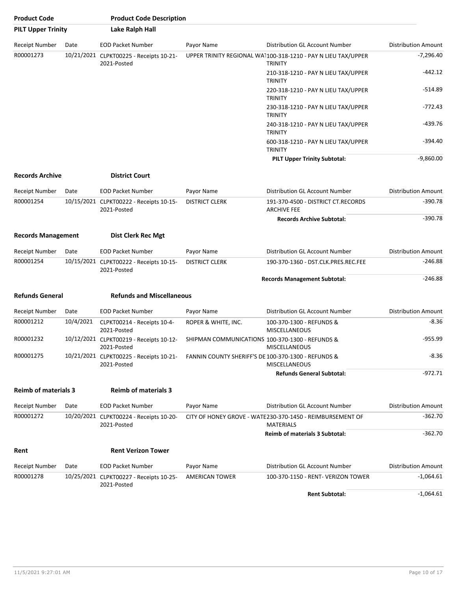| <b>Product Code</b>         |           | <b>Product Code Description</b>                                                                            |                                                 |                                                                                 |                            |
|-----------------------------|-----------|------------------------------------------------------------------------------------------------------------|-------------------------------------------------|---------------------------------------------------------------------------------|----------------------------|
| <b>PILT Upper Trinity</b>   |           | Lake Ralph Hall                                                                                            |                                                 |                                                                                 |                            |
| <b>Receipt Number</b>       | Date      | <b>EOD Packet Number</b>                                                                                   | Payor Name                                      | Distribution GL Account Number                                                  | <b>Distribution Amount</b> |
| R00001273                   |           | 10/21/2021 CLPKT00225 - Receipts 10-21-<br>2021-Posted                                                     |                                                 | UPPER TRINITY REGIONAL WA1100-318-1210 - PAY N LIEU TAX/UPPER<br><b>TRINITY</b> | $-7,296.40$                |
|                             |           |                                                                                                            |                                                 | 210-318-1210 - PAY N LIEU TAX/UPPER<br><b>TRINITY</b>                           | $-442.12$                  |
|                             |           |                                                                                                            |                                                 | 220-318-1210 - PAY N LIEU TAX/UPPER<br><b>TRINITY</b>                           | $-514.89$                  |
|                             |           |                                                                                                            |                                                 | 230-318-1210 - PAY N LIEU TAX/UPPER<br><b>TRINITY</b>                           | $-772.43$                  |
|                             |           |                                                                                                            |                                                 | 240-318-1210 - PAY N LIEU TAX/UPPER<br><b>TRINITY</b>                           | -439.76                    |
|                             |           |                                                                                                            |                                                 | 600-318-1210 - PAY N LIEU TAX/UPPER<br><b>TRINITY</b>                           | $-394.40$                  |
|                             |           |                                                                                                            |                                                 | <b>PILT Upper Trinity Subtotal:</b>                                             | $-9,860.00$                |
| <b>Records Archive</b>      |           | <b>District Court</b>                                                                                      |                                                 |                                                                                 |                            |
| Receipt Number              | Date      | <b>EOD Packet Number</b>                                                                                   | Payor Name                                      | Distribution GL Account Number                                                  | <b>Distribution Amount</b> |
| R00001254                   |           | 10/15/2021 CLPKT00222 - Receipts 10-15-<br>2021-Posted                                                     | <b>DISTRICT CLERK</b>                           | 191-370-4500 - DISTRICT CT.RECORDS<br><b>ARCHIVE FEE</b>                        | $-390.78$                  |
|                             |           |                                                                                                            |                                                 | <b>Records Archive Subtotal:</b>                                                | $-390.78$                  |
| <b>Records Management</b>   |           | <b>Dist Clerk Rec Mgt</b>                                                                                  |                                                 |                                                                                 |                            |
| Receipt Number              | Date      | <b>EOD Packet Number</b>                                                                                   | Payor Name                                      | Distribution GL Account Number                                                  | <b>Distribution Amount</b> |
| R00001254                   |           | 10/15/2021 CLPKT00222 - Receipts 10-15-<br>2021-Posted                                                     | <b>DISTRICT CLERK</b>                           | 190-370-1360 - DST.CLK.PRES.REC.FEE                                             | $-246.88$                  |
|                             |           |                                                                                                            |                                                 | <b>Records Management Subtotal:</b>                                             | $-246.88$                  |
| <b>Refunds General</b>      |           | <b>Refunds and Miscellaneous</b>                                                                           |                                                 |                                                                                 |                            |
| <b>Receipt Number</b>       | Date      | <b>EOD Packet Number</b>                                                                                   | Payor Name                                      | Distribution GL Account Number                                                  | <b>Distribution Amount</b> |
| R00001212                   | 10/4/2021 | CLPKT00214 - Receipts 10-4-<br>2021-Posted                                                                 | ROPER & WHITE, INC.                             | 100-370-1300 - REFUNDS &<br><b>MISCELLANEOUS</b>                                | $-8.36$                    |
| R00001232                   |           | 10/12/2021 CLPKT00219 - Receipts 10-12-<br>2021-Posted                                                     | SHIPMAN COMMUNICATIONS 100-370-1300 - REFUNDS & | MISCELLANEOUS                                                                   | $-955.99$                  |
| R00001275                   |           | 10/21/2021 CLPKT00225 - Receipts 10-21- FANNIN COUNTY SHERIFF'S DE 100-370-1300 - REFUNDS &<br>2021-Posted |                                                 | <b>MISCELLANEOUS</b>                                                            | $-8.36$                    |
|                             |           |                                                                                                            |                                                 | <b>Refunds General Subtotal:</b>                                                | $-972.71$                  |
| <b>Reimb of materials 3</b> |           | <b>Reimb of materials 3</b>                                                                                |                                                 |                                                                                 |                            |
| Receipt Number              | Date      | <b>EOD Packet Number</b>                                                                                   | Payor Name                                      | Distribution GL Account Number                                                  | <b>Distribution Amount</b> |
| R00001272                   |           | 10/20/2021 CLPKT00224 - Receipts 10-20-<br>2021-Posted                                                     |                                                 | CITY OF HONEY GROVE - WATE230-370-1450 - REIMBURSEMENT OF<br><b>MATERIALS</b>   | $-362.70$                  |
|                             |           |                                                                                                            |                                                 | <b>Reimb of materials 3 Subtotal:</b>                                           | $-362.70$                  |
| Rent                        |           | <b>Rent Verizon Tower</b>                                                                                  |                                                 |                                                                                 |                            |
| <b>Receipt Number</b>       | Date      | <b>EOD Packet Number</b>                                                                                   | Payor Name                                      | Distribution GL Account Number                                                  | <b>Distribution Amount</b> |
| R00001278                   |           | 10/25/2021 CLPKT00227 - Receipts 10-25-                                                                    | <b>AMERICAN TOWER</b>                           | 100-370-1150 - RENT- VERIZON TOWER                                              | $-1,064.61$                |
|                             |           | 2021-Posted                                                                                                |                                                 | <b>Rent Subtotal:</b>                                                           | $-1,064.61$                |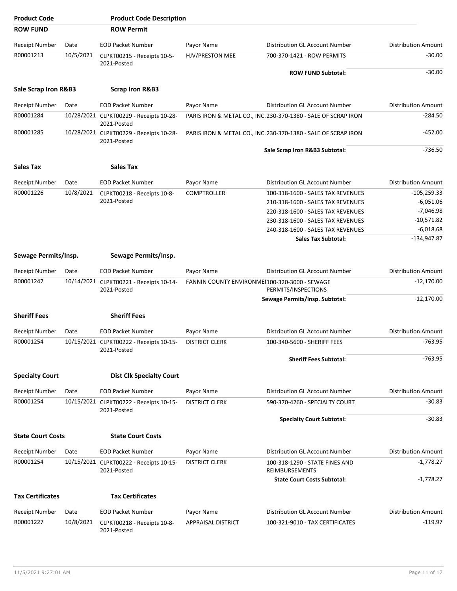| <b>Product Code</b>      |           | <b>Product Code Description</b>                        |                           |                                                                      |                            |
|--------------------------|-----------|--------------------------------------------------------|---------------------------|----------------------------------------------------------------------|----------------------------|
| <b>ROW FUND</b>          |           | <b>ROW Permit</b>                                      |                           |                                                                      |                            |
| <b>Receipt Number</b>    | Date      | <b>EOD Packet Number</b>                               | Payor Name                | Distribution GL Account Number                                       | <b>Distribution Amount</b> |
| R00001213                | 10/5/2021 | CLPKT00215 - Receipts 10-5-<br>2021-Posted             | HJV/PRESTON MEE           | 700-370-1421 - ROW PERMITS                                           | $-30.00$                   |
|                          |           |                                                        |                           | <b>ROW FUND Subtotal:</b>                                            | $-30.00$                   |
| Sale Scrap Iron R&B3     |           | <b>Scrap Iron R&amp;B3</b>                             |                           |                                                                      |                            |
| <b>Receipt Number</b>    | Date      | <b>EOD Packet Number</b>                               | Payor Name                | Distribution GL Account Number                                       | <b>Distribution Amount</b> |
| R00001284                |           | 10/28/2021 CLPKT00229 - Receipts 10-28-<br>2021-Posted |                           | PARIS IRON & METAL CO., INC. 230-370-1380 - SALE OF SCRAP IRON       | $-284.50$                  |
| R00001285                |           | 10/28/2021 CLPKT00229 - Receipts 10-28-<br>2021-Posted |                           | PARIS IRON & METAL CO., INC. 230-370-1380 - SALE OF SCRAP IRON       | $-452.00$                  |
|                          |           |                                                        |                           | Sale Scrap Iron R&B3 Subtotal:                                       | $-736.50$                  |
| <b>Sales Tax</b>         |           | Sales Tax                                              |                           |                                                                      |                            |
| <b>Receipt Number</b>    | Date      | <b>EOD Packet Number</b>                               | Payor Name                | Distribution GL Account Number                                       | <b>Distribution Amount</b> |
| R00001226                | 10/8/2021 | CLPKT00218 - Receipts 10-8-                            | <b>COMPTROLLER</b>        | 100-318-1600 - SALES TAX REVENUES                                    | $-105,259.33$              |
|                          |           | 2021-Posted                                            |                           | 210-318-1600 - SALES TAX REVENUES                                    | $-6,051.06$                |
|                          |           |                                                        |                           | 220-318-1600 - SALES TAX REVENUES                                    | $-7,046.98$                |
|                          |           |                                                        |                           | 230-318-1600 - SALES TAX REVENUES                                    | $-10,571.82$               |
|                          |           |                                                        |                           | 240-318-1600 - SALES TAX REVENUES                                    | $-6,018.68$                |
|                          |           |                                                        |                           | <b>Sales Tax Subtotal:</b>                                           | $-134,947.87$              |
| Sewage Permits/Insp.     |           | Sewage Permits/Insp.                                   |                           |                                                                      |                            |
| <b>Receipt Number</b>    | Date      | <b>EOD Packet Number</b>                               | Payor Name                | Distribution GL Account Number                                       | <b>Distribution Amount</b> |
| R00001247                |           | 10/14/2021 CLPKT00221 - Receipts 10-14-<br>2021-Posted |                           | FANNIN COUNTY ENVIRONMEI100-320-3000 - SEWAGE<br>PERMITS/INSPECTIONS | $-12,170.00$               |
|                          |           |                                                        |                           | Sewage Permits/Insp. Subtotal:                                       | $-12,170.00$               |
| <b>Sheriff Fees</b>      |           | <b>Sheriff Fees</b>                                    |                           |                                                                      |                            |
| <b>Receipt Number</b>    | Date      | <b>EOD Packet Number</b>                               | Payor Name                | Distribution GL Account Number                                       | <b>Distribution Amount</b> |
| R00001254                |           | 10/15/2021 CLPKT00222 - Receipts 10-15-<br>2021-Posted | <b>DISTRICT CLERK</b>     | 100-340-5600 - SHERIFF FEES                                          | $-763.95$                  |
|                          |           |                                                        |                           | <b>Sheriff Fees Subtotal:</b>                                        | $-763.95$                  |
| <b>Specialty Court</b>   |           | <b>Dist Clk Specialty Court</b>                        |                           |                                                                      |                            |
| Receipt Number           | Date      | <b>EOD Packet Number</b>                               | Payor Name                | Distribution GL Account Number                                       | <b>Distribution Amount</b> |
| R00001254                |           | 10/15/2021 CLPKT00222 - Receipts 10-15-<br>2021-Posted | <b>DISTRICT CLERK</b>     | 590-370-4260 - SPECIALTY COURT                                       | $-30.83$                   |
|                          |           |                                                        |                           | <b>Specialty Court Subtotal:</b>                                     | $-30.83$                   |
| <b>State Court Costs</b> |           | <b>State Court Costs</b>                               |                           |                                                                      |                            |
| <b>Receipt Number</b>    | Date      | <b>EOD Packet Number</b>                               | Payor Name                | Distribution GL Account Number                                       | <b>Distribution Amount</b> |
| R00001254                |           | 10/15/2021 CLPKT00222 - Receipts 10-15-<br>2021-Posted | <b>DISTRICT CLERK</b>     | 100-318-1290 - STATE FINES AND<br>REIMBURSEMENTS                     | $-1,778.27$                |
|                          |           |                                                        |                           | <b>State Court Costs Subtotal:</b>                                   | $-1,778.27$                |
| <b>Tax Certificates</b>  |           | <b>Tax Certificates</b>                                |                           |                                                                      |                            |
| <b>Receipt Number</b>    | Date      | <b>EOD Packet Number</b>                               | Payor Name                | Distribution GL Account Number                                       | <b>Distribution Amount</b> |
| R00001227                | 10/8/2021 | CLPKT00218 - Receipts 10-8-<br>2021-Posted             | <b>APPRAISAL DISTRICT</b> | 100-321-9010 - TAX CERTIFICATES                                      | -119.97                    |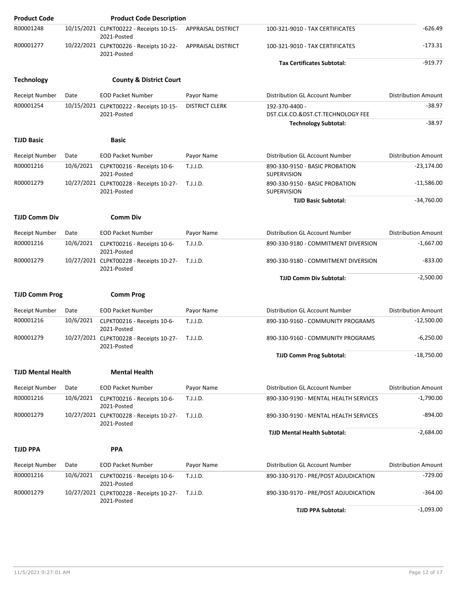| <b>Product Code</b>       |           | <b>Product Code Description</b>                        |                       |                                                                                    |                            |
|---------------------------|-----------|--------------------------------------------------------|-----------------------|------------------------------------------------------------------------------------|----------------------------|
| R00001248                 |           | 10/15/2021 CLPKT00222 - Receipts 10-15-<br>2021-Posted | APPRAISAL DISTRICT    | 100-321-9010 - TAX CERTIFICATES                                                    | $-626.49$                  |
| R00001277                 |           | 10/22/2021 CLPKT00226 - Receipts 10-22-<br>2021-Posted | APPRAISAL DISTRICT    | 100-321-9010 - TAX CERTIFICATES                                                    | $-173.31$                  |
|                           |           |                                                        |                       | <b>Tax Certificates Subtotal:</b>                                                  | $-919.77$                  |
| <b>Technology</b>         |           | <b>County &amp; District Court</b>                     |                       |                                                                                    |                            |
| <b>Receipt Number</b>     | Date      | <b>EOD Packet Number</b>                               | Payor Name            | Distribution GL Account Number                                                     | <b>Distribution Amount</b> |
| R00001254                 |           | 10/15/2021 CLPKT00222 - Receipts 10-15-<br>2021-Posted | <b>DISTRICT CLERK</b> | 192-370-4400 -<br>DST.CLK.CO.&DST.CT.TECHNOLOGY FEE<br><b>Technology Subtotal:</b> | $-38.97$<br>$-38.97$       |
|                           |           |                                                        |                       |                                                                                    |                            |
| <b>TJJD Basic</b>         |           | <b>Basic</b>                                           |                       |                                                                                    |                            |
| Receipt Number            | Date      | <b>EOD Packet Number</b>                               | Payor Name            | Distribution GL Account Number                                                     | <b>Distribution Amount</b> |
| R00001216                 | 10/6/2021 | CLPKT00216 - Receipts 10-6-<br>2021-Posted             | T.J.J.D.              | 890-330-9150 - BASIC PROBATION<br><b>SUPERVISION</b>                               | $-23,174.00$               |
| R00001279                 |           | 10/27/2021 CLPKT00228 - Receipts 10-27-<br>2021-Posted | T.J.J.D.              | 890-330-9150 - BASIC PROBATION<br>SUPERVISION                                      | $-11,586.00$               |
|                           |           |                                                        |                       | <b>TJJD Basic Subtotal:</b>                                                        | $-34,760.00$               |
| <b>TJJD Comm Div</b>      |           | <b>Comm Div</b>                                        |                       |                                                                                    |                            |
| <b>Receipt Number</b>     | Date      | <b>EOD Packet Number</b>                               | Payor Name            | Distribution GL Account Number                                                     | <b>Distribution Amount</b> |
| R00001216                 | 10/6/2021 | CLPKT00216 - Receipts 10-6-<br>2021-Posted             | T.J.J.D.              | 890-330-9180 - COMMITMENT DIVERSION                                                | $-1,667.00$                |
| R00001279                 |           | 10/27/2021 CLPKT00228 - Receipts 10-27-<br>2021-Posted | T.J.J.D.              | 890-330-9180 - COMMITMENT DIVERSION                                                | $-833.00$                  |
|                           |           |                                                        |                       | <b>TJJD Comm Div Subtotal:</b>                                                     | $-2,500.00$                |
| <b>TJJD Comm Prog</b>     |           | <b>Comm Prog</b>                                       |                       |                                                                                    |                            |
| Receipt Number            | Date      | <b>EOD Packet Number</b>                               | Payor Name            | Distribution GL Account Number                                                     | <b>Distribution Amount</b> |
| R00001216                 | 10/6/2021 | CLPKT00216 - Receipts 10-6-<br>2021-Posted             | T.J.J.D.              | 890-330-9160 - COMMUNITY PROGRAMS                                                  | $-12,500.00$               |
| R00001279                 |           | 10/27/2021 CLPKT00228 - Receipts 10-27-<br>2021-Posted | T.J.J.D.              | 890-330-9160 - COMMUNITY PROGRAMS                                                  | $-6,250.00$                |
|                           |           |                                                        |                       | <b>TJJD Comm Prog Subtotal:</b>                                                    | $-18,750.00$               |
| <b>TJJD Mental Health</b> |           | <b>Mental Health</b>                                   |                       |                                                                                    |                            |
| Receipt Number            | Date      | <b>EOD Packet Number</b>                               | Payor Name            | Distribution GL Account Number                                                     | <b>Distribution Amount</b> |
| R00001216                 | 10/6/2021 | CLPKT00216 - Receipts 10-6-<br>2021-Posted             | T.J.J.D.              | 890-330-9190 - MENTAL HEALTH SERVICES                                              | $-1,790.00$                |
| R00001279                 |           | 10/27/2021 CLPKT00228 - Receipts 10-27-<br>2021-Posted | T.J.J.D.              | 890-330-9190 - MENTAL HEALTH SERVICES                                              | $-894.00$                  |
|                           |           |                                                        |                       | <b>TJJD Mental Health Subtotal:</b>                                                | $-2,684.00$                |
| <b>TJJD PPA</b>           |           | <b>PPA</b>                                             |                       |                                                                                    |                            |
| Receipt Number            | Date      | <b>EOD Packet Number</b>                               | Payor Name            | Distribution GL Account Number                                                     | <b>Distribution Amount</b> |
| R00001216                 | 10/6/2021 | CLPKT00216 - Receipts 10-6-<br>2021-Posted             | T.J.J.D.              | 890-330-9170 - PRE/POST ADJUDICATION                                               | $-729.00$                  |
| R00001279                 |           | 10/27/2021 CLPKT00228 - Receipts 10-27-<br>2021-Posted | T.J.J.D.              | 890-330-9170 - PRE/POST ADJUDICATION                                               | $-364.00$                  |
|                           |           |                                                        |                       | <b>TJJD PPA Subtotal:</b>                                                          | $-1,093.00$                |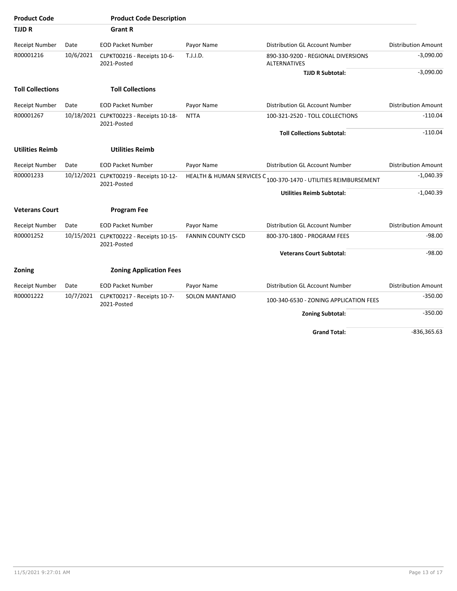| <b>Product Code</b>     |           | <b>Product Code Description</b>                        |                                      |                                                    |                            |
|-------------------------|-----------|--------------------------------------------------------|--------------------------------------|----------------------------------------------------|----------------------------|
| <b>TJJDR</b>            |           | <b>Grant R</b>                                         |                                      |                                                    |                            |
| <b>Receipt Number</b>   | Date      | <b>EOD Packet Number</b>                               | Payor Name                           | Distribution GL Account Number                     | <b>Distribution Amount</b> |
| R00001216               | 10/6/2021 | CLPKT00216 - Receipts 10-6-<br>2021-Posted             | T.J.J.D.                             | 890-330-9200 - REGIONAL DIVERSIONS<br>ALTERNATIVES | $-3,090.00$                |
|                         |           |                                                        |                                      | <b>TJJD R Subtotal:</b>                            | $-3,090.00$                |
| <b>Toll Collections</b> |           | <b>Toll Collections</b>                                |                                      |                                                    |                            |
| <b>Receipt Number</b>   | Date      | <b>EOD Packet Number</b>                               | Payor Name                           | Distribution GL Account Number                     | <b>Distribution Amount</b> |
| R00001267               |           | 10/18/2021 CLPKT00223 - Receipts 10-18-<br>2021-Posted | <b>NTTA</b>                          | 100-321-2520 - TOLL COLLECTIONS                    | $-110.04$                  |
|                         |           |                                                        |                                      | <b>Toll Collections Subtotal:</b>                  | $-110.04$                  |
| <b>Utilities Reimb</b>  |           | <b>Utilities Reimb</b>                                 |                                      |                                                    |                            |
| Receipt Number          | Date      | <b>EOD Packet Number</b>                               | Payor Name                           | Distribution GL Account Number                     | <b>Distribution Amount</b> |
| R00001233               |           | 10/12/2021 CLPKT00219 - Receipts 10-12-<br>2021-Posted | <b>HEALTH &amp; HUMAN SERVICES C</b> | 100-370-1470 - UTILITIES REIMBURSEMENT             | $-1,040.39$                |
|                         |           |                                                        |                                      | <b>Utilities Reimb Subtotal:</b>                   | $-1,040.39$                |
| <b>Veterans Court</b>   |           | <b>Program Fee</b>                                     |                                      |                                                    |                            |
| Receipt Number          | Date      | <b>EOD Packet Number</b>                               | Payor Name                           | Distribution GL Account Number                     | <b>Distribution Amount</b> |
| R00001252               |           | 10/15/2021 CLPKT00222 - Receipts 10-15-<br>2021-Posted | <b>FANNIN COUNTY CSCD</b>            | 800-370-1800 - PROGRAM FEES                        | $-98.00$                   |
|                         |           |                                                        |                                      | <b>Veterans Court Subtotal:</b>                    | $-98.00$                   |
| Zoning                  |           | <b>Zoning Application Fees</b>                         |                                      |                                                    |                            |
| Receipt Number          | Date      | <b>EOD Packet Number</b>                               | Payor Name                           | Distribution GL Account Number                     | <b>Distribution Amount</b> |
| R00001222               | 10/7/2021 | CLPKT00217 - Receipts 10-7-<br>2021-Posted             | <b>SOLON MANTANIO</b>                | 100-340-6530 - ZONING APPLICATION FEES             | $-350.00$                  |
|                         |           |                                                        |                                      | <b>Zoning Subtotal:</b>                            | $-350.00$                  |
|                         |           |                                                        |                                      | <b>Grand Total:</b>                                | $-836,365.63$              |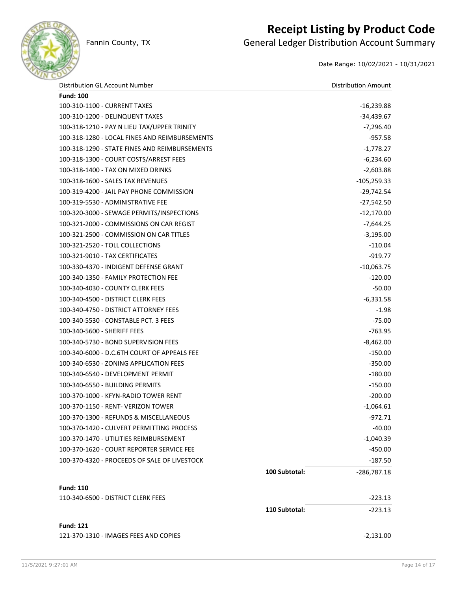

## **Receipt Listing by Product Code**

Fannin County, TX **General Ledger Distribution Account Summary** 

Date Range: 10/02/2021 - 10/31/2021

| Distribution GL Account Number                |               | <b>Distribution Amount</b> |
|-----------------------------------------------|---------------|----------------------------|
| <b>Fund: 100</b>                              |               |                            |
| 100-310-1100 - CURRENT TAXES                  |               | $-16,239.88$               |
| 100-310-1200 - DELINQUENT TAXES               |               | -34,439.67                 |
| 100-318-1210 - PAY N LIEU TAX/UPPER TRINITY   |               | $-7,296.40$                |
| 100-318-1280 - LOCAL FINES AND REIMBURSEMENTS |               | -957.58                    |
| 100-318-1290 - STATE FINES AND REIMBURSEMENTS |               | $-1,778.27$                |
| 100-318-1300 - COURT COSTS/ARREST FEES        |               | $-6,234.60$                |
| 100-318-1400 - TAX ON MIXED DRINKS            |               | $-2,603.88$                |
| 100-318-1600 - SALES TAX REVENUES             |               | $-105,259.33$              |
| 100-319-4200 - JAIL PAY PHONE COMMISSION      |               | $-29,742.54$               |
| 100-319-5530 - ADMINISTRATIVE FEE             |               | $-27,542.50$               |
| 100-320-3000 - SEWAGE PERMITS/INSPECTIONS     |               | $-12,170.00$               |
| 100-321-2000 - COMMISSIONS ON CAR REGIST      |               | $-7,644.25$                |
| 100-321-2500 - COMMISSION ON CAR TITLES       |               | $-3,195.00$                |
| 100-321-2520 - TOLL COLLECTIONS               |               | $-110.04$                  |
| 100-321-9010 - TAX CERTIFICATES               |               | $-919.77$                  |
| 100-330-4370 - INDIGENT DEFENSE GRANT         |               | $-10,063.75$               |
| 100-340-1350 - FAMILY PROTECTION FEE          |               | $-120.00$                  |
| 100-340-4030 - COUNTY CLERK FEES              |               | $-50.00$                   |
| 100-340-4500 - DISTRICT CLERK FEES            |               | $-6,331.58$                |
| 100-340-4750 - DISTRICT ATTORNEY FEES         |               | $-1.98$                    |
| 100-340-5530 - CONSTABLE PCT. 3 FEES          |               | $-75.00$                   |
| 100-340-5600 - SHERIFF FEES                   |               | $-763.95$                  |
| 100-340-5730 - BOND SUPERVISION FEES          |               | $-8,462.00$                |
| 100-340-6000 - D.C.6TH COURT OF APPEALS FEE   |               | $-150.00$                  |
| 100-340-6530 - ZONING APPLICATION FEES        |               | $-350.00$                  |
| 100-340-6540 - DEVELOPMENT PERMIT             |               | $-180.00$                  |
| 100-340-6550 - BUILDING PERMITS               |               | $-150.00$                  |
| 100-370-1000 - KFYN-RADIO TOWER RENT          |               | $-200.00$                  |
| 100-370-1150 - RENT- VERIZON TOWER            |               | $-1,064.61$                |
| 100-370-1300 - REFUNDS & MISCELLANEOUS        |               | -972.71                    |
| 100-370-1420 - CULVERT PERMITTING PROCESS     |               | $-40.00$                   |
| 100-370-1470 - UTILITIES REIMBURSEMENT        |               | $-1,040.39$                |
| 100-370-1620 - COURT REPORTER SERVICE FEE     |               | $-450.00$                  |
| 100-370-4320 - PROCEEDS OF SALE OF LIVESTOCK  |               | $-187.50$                  |
|                                               | 100 Subtotal: | $-286,787.18$              |
| <b>Fund: 110</b>                              |               |                            |
| 110-340-6500 - DISTRICT CLERK FEES            |               | $-223.13$                  |
|                                               | 110 Subtotal: | $-223.13$                  |

**Fund: 121**

121-370-1310 - IMAGES FEES AND COPIES -2,131.00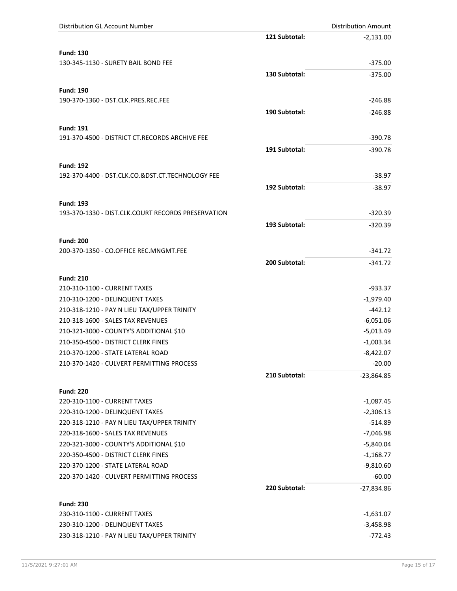| <b>Distribution GL Account Number</b>              |               | <b>Distribution Amount</b> |
|----------------------------------------------------|---------------|----------------------------|
|                                                    | 121 Subtotal: | $-2,131.00$                |
| <b>Fund: 130</b>                                   |               |                            |
| 130-345-1130 - SURETY BAIL BOND FEE                |               | $-375.00$                  |
|                                                    | 130 Subtotal: | $-375.00$                  |
|                                                    |               |                            |
| <b>Fund: 190</b>                                   |               |                            |
| 190-370-1360 - DST.CLK.PRES.REC.FEE                |               | $-246.88$                  |
|                                                    | 190 Subtotal: | $-246.88$                  |
| <b>Fund: 191</b>                                   |               |                            |
| 191-370-4500 - DISTRICT CT.RECORDS ARCHIVE FEE     |               | $-390.78$                  |
|                                                    | 191 Subtotal: | $-390.78$                  |
|                                                    |               |                            |
| <b>Fund: 192</b>                                   |               |                            |
| 192-370-4400 - DST.CLK.CO.&DST.CT.TECHNOLOGY FEE   |               | $-38.97$                   |
|                                                    | 192 Subtotal: | $-38.97$                   |
| <b>Fund: 193</b>                                   |               |                            |
| 193-370-1330 - DIST.CLK.COURT RECORDS PRESERVATION |               | $-320.39$                  |
|                                                    | 193 Subtotal: | $-320.39$                  |
|                                                    |               |                            |
| <b>Fund: 200</b>                                   |               |                            |
| 200-370-1350 - CO.OFFICE REC.MNGMT.FEE             |               | $-341.72$                  |
|                                                    | 200 Subtotal: | $-341.72$                  |
| <b>Fund: 210</b>                                   |               |                            |
| 210-310-1100 - CURRENT TAXES                       |               | $-933.37$                  |
| 210-310-1200 - DELINQUENT TAXES                    |               | $-1,979.40$                |
| 210-318-1210 - PAY N LIEU TAX/UPPER TRINITY        |               | $-442.12$                  |
| 210-318-1600 - SALES TAX REVENUES                  |               | $-6,051.06$                |
| 210-321-3000 - COUNTY'S ADDITIONAL \$10            |               | $-5,013.49$                |
| 210-350-4500 - DISTRICT CLERK FINES                |               | $-1,003.34$                |
| 210-370-1200 - STATE LATERAL ROAD                  |               | $-8,422.07$                |
| 210-370-1420 - CULVERT PERMITTING PROCESS          |               | $-20.00$                   |
|                                                    | 210 Subtotal: | $-23,864.85$               |
|                                                    |               |                            |
| <b>Fund: 220</b>                                   |               |                            |
| 220-310-1100 - CURRENT TAXES                       |               | $-1,087.45$                |
| 220-310-1200 - DELINQUENT TAXES                    |               | $-2,306.13$                |
| 220-318-1210 - PAY N LIEU TAX/UPPER TRINITY        |               | $-514.89$                  |
| 220-318-1600 - SALES TAX REVENUES                  |               | $-7,046.98$                |
| 220-321-3000 - COUNTY'S ADDITIONAL \$10            |               | $-5,840.04$                |
| 220-350-4500 - DISTRICT CLERK FINES                |               | $-1,168.77$                |
| 220-370-1200 - STATE LATERAL ROAD                  |               | $-9,810.60$                |
| 220-370-1420 - CULVERT PERMITTING PROCESS          |               | $-60.00$                   |
|                                                    | 220 Subtotal: | -27,834.86                 |
| <b>Fund: 230</b>                                   |               |                            |
| 230-310-1100 - CURRENT TAXES                       |               | $-1,631.07$                |
| 230-310-1200 - DELINQUENT TAXES                    |               | $-3,458.98$                |
| 230-318-1210 - PAY N LIEU TAX/UPPER TRINITY        |               | $-772.43$                  |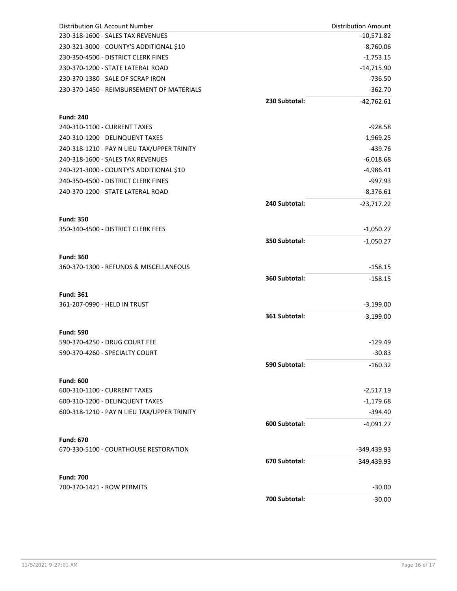| Distribution GL Account Number                   |               | <b>Distribution Amount</b> |
|--------------------------------------------------|---------------|----------------------------|
| 230-318-1600 - SALES TAX REVENUES                |               | $-10,571.82$               |
| 230-321-3000 - COUNTY'S ADDITIONAL \$10          |               | $-8,760.06$                |
| 230-350-4500 - DISTRICT CLERK FINES              |               | $-1,753.15$                |
| 230-370-1200 - STATE LATERAL ROAD                |               | $-14,715.90$               |
| 230-370-1380 - SALE OF SCRAP IRON                |               | $-736.50$                  |
| 230-370-1450 - REIMBURSEMENT OF MATERIALS        |               | $-362.70$                  |
|                                                  | 230 Subtotal: | $-42,762.61$               |
|                                                  |               |                            |
| <b>Fund: 240</b><br>240-310-1100 - CURRENT TAXES |               | $-928.58$                  |
| 240-310-1200 - DELINQUENT TAXES                  |               | $-1,969.25$                |
| 240-318-1210 - PAY N LIEU TAX/UPPER TRINITY      |               | $-439.76$                  |
| 240-318-1600 - SALES TAX REVENUES                |               |                            |
| 240-321-3000 - COUNTY'S ADDITIONAL \$10          |               | $-6,018.68$                |
|                                                  |               | $-4,986.41$                |
| 240-350-4500 - DISTRICT CLERK FINES              |               | $-997.93$                  |
| 240-370-1200 - STATE LATERAL ROAD                |               | $-8,376.61$                |
|                                                  | 240 Subtotal: | $-23,717.22$               |
| <b>Fund: 350</b>                                 |               |                            |
| 350-340-4500 - DISTRICT CLERK FEES               |               | $-1,050.27$                |
|                                                  | 350 Subtotal: | $-1,050.27$                |
|                                                  |               |                            |
| <b>Fund: 360</b>                                 |               |                            |
| 360-370-1300 - REFUNDS & MISCELLANEOUS           |               | $-158.15$                  |
|                                                  | 360 Subtotal: | $-158.15$                  |
| <b>Fund: 361</b>                                 |               |                            |
| 361-207-0990 - HELD IN TRUST                     |               | $-3,199.00$                |
|                                                  | 361 Subtotal: | $-3,199.00$                |
|                                                  |               |                            |
| <b>Fund: 590</b>                                 |               |                            |
| 590-370-4250 - DRUG COURT FEE                    |               | $-129.49$                  |
| 590-370-4260 - SPECIALTY COURT                   |               | $-30.83$                   |
|                                                  | 590 Subtotal: | $-160.32$                  |
| <b>Fund: 600</b>                                 |               |                            |
| 600-310-1100 - CURRENT TAXES                     |               | $-2,517.19$                |
| 600-310-1200 - DELINQUENT TAXES                  |               | $-1,179.68$                |
| 600-318-1210 - PAY N LIEU TAX/UPPER TRINITY      |               | $-394.40$                  |
|                                                  | 600 Subtotal: | $-4,091.27$                |
|                                                  |               |                            |
| <b>Fund: 670</b>                                 |               |                            |
| 670-330-5100 - COURTHOUSE RESTORATION            |               | -349,439.93                |
|                                                  | 670 Subtotal: | -349,439.93                |
| <b>Fund: 700</b>                                 |               |                            |
| 700-370-1421 - ROW PERMITS                       |               | $-30.00$                   |
|                                                  | 700 Subtotal: | $-30.00$                   |
|                                                  |               |                            |